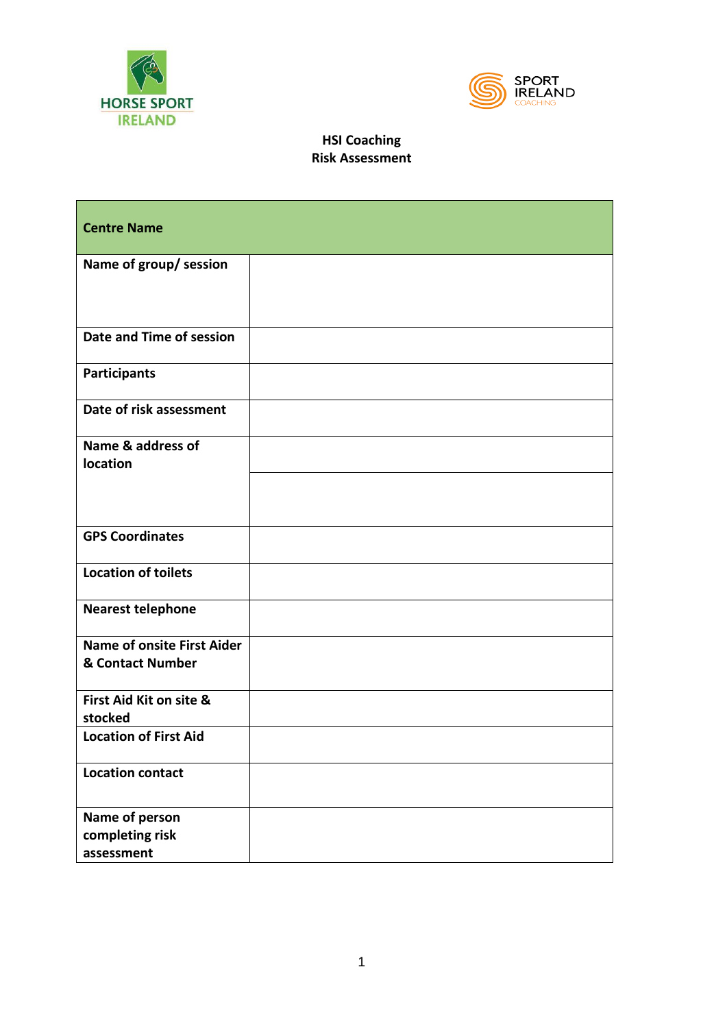



| <b>Centre Name</b>                                    |  |
|-------------------------------------------------------|--|
| Name of group/ session                                |  |
| Date and Time of session                              |  |
| <b>Participants</b>                                   |  |
| Date of risk assessment                               |  |
| Name & address of<br>location                         |  |
| <b>GPS Coordinates</b>                                |  |
| <b>Location of toilets</b>                            |  |
| <b>Nearest telephone</b>                              |  |
| <b>Name of onsite First Aider</b><br>& Contact Number |  |
| First Aid Kit on site &<br>stocked                    |  |
| <b>Location of First Aid</b>                          |  |
| <b>Location contact</b>                               |  |
| Name of person<br>completing risk<br>assessment       |  |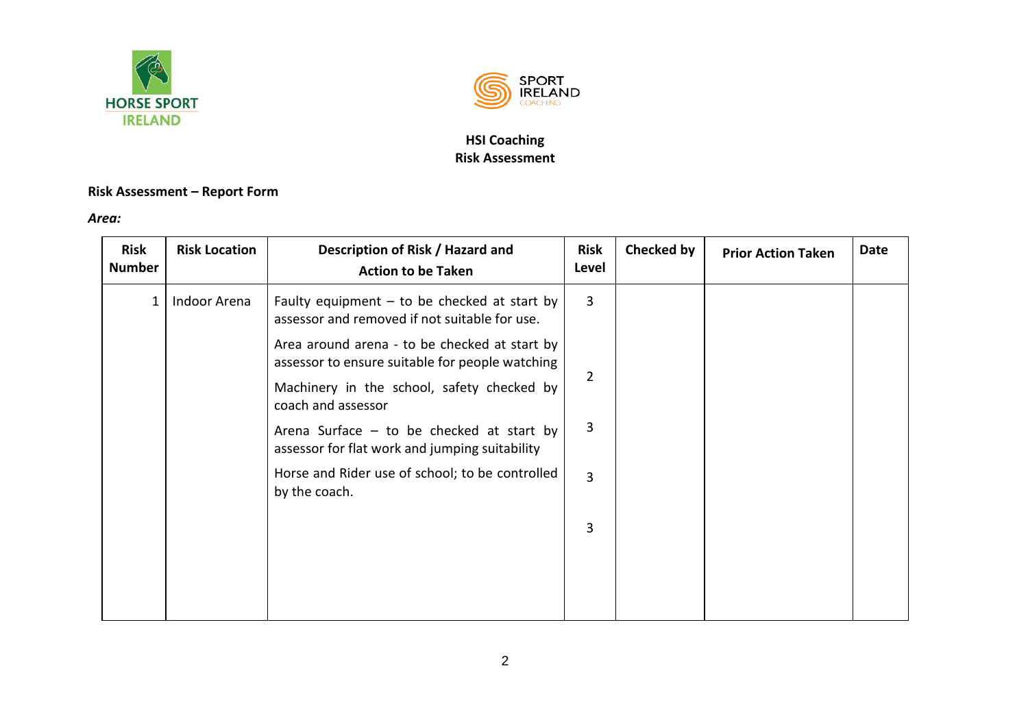



## **Risk Assessment – Report Form**

*Area:* 

| <b>Risk</b><br><b>Number</b> | <b>Risk Location</b> | Description of Risk / Hazard and<br><b>Action to be Taken</b>                                    | <b>Risk</b><br>Level | Checked by | <b>Prior Action Taken</b> | <b>Date</b> |
|------------------------------|----------------------|--------------------------------------------------------------------------------------------------|----------------------|------------|---------------------------|-------------|
| 1                            | Indoor Arena         | Faulty equipment $-$ to be checked at start by<br>assessor and removed if not suitable for use.  | 3                    |            |                           |             |
|                              |                      | Area around arena - to be checked at start by<br>assessor to ensure suitable for people watching |                      |            |                           |             |
|                              |                      | Machinery in the school, safety checked by<br>coach and assessor                                 | 2                    |            |                           |             |
|                              |                      | Arena Surface $-$ to be checked at start by<br>assessor for flat work and jumping suitability    | 3                    |            |                           |             |
|                              |                      | Horse and Rider use of school; to be controlled<br>by the coach.                                 | 3                    |            |                           |             |
|                              |                      |                                                                                                  | 3                    |            |                           |             |
|                              |                      |                                                                                                  |                      |            |                           |             |
|                              |                      |                                                                                                  |                      |            |                           |             |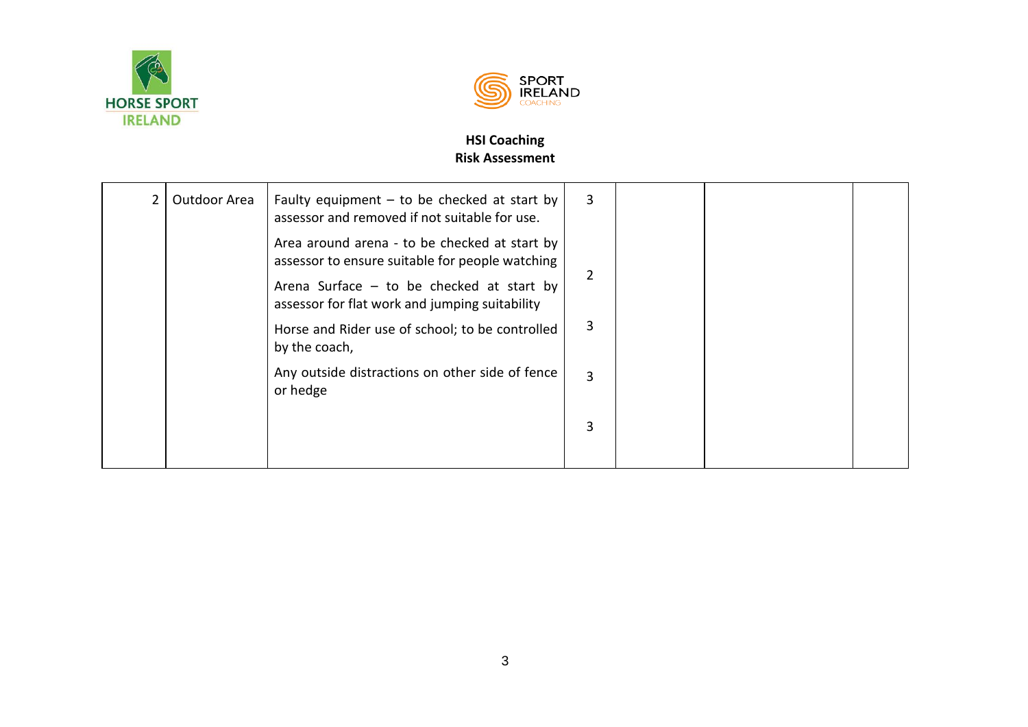



| 2 | Outdoor Area | Faulty equipment $-$ to be checked at start by<br>assessor and removed if not suitable for use.  | 3              |  |  |
|---|--------------|--------------------------------------------------------------------------------------------------|----------------|--|--|
|   |              | Area around arena - to be checked at start by<br>assessor to ensure suitable for people watching |                |  |  |
|   |              | Arena Surface $-$ to be checked at start by<br>assessor for flat work and jumping suitability    |                |  |  |
|   |              | Horse and Rider use of school; to be controlled<br>by the coach,                                 | 3              |  |  |
|   |              | Any outside distractions on other side of fence<br>or hedge                                      | $\overline{3}$ |  |  |
|   |              |                                                                                                  | 3              |  |  |
|   |              |                                                                                                  |                |  |  |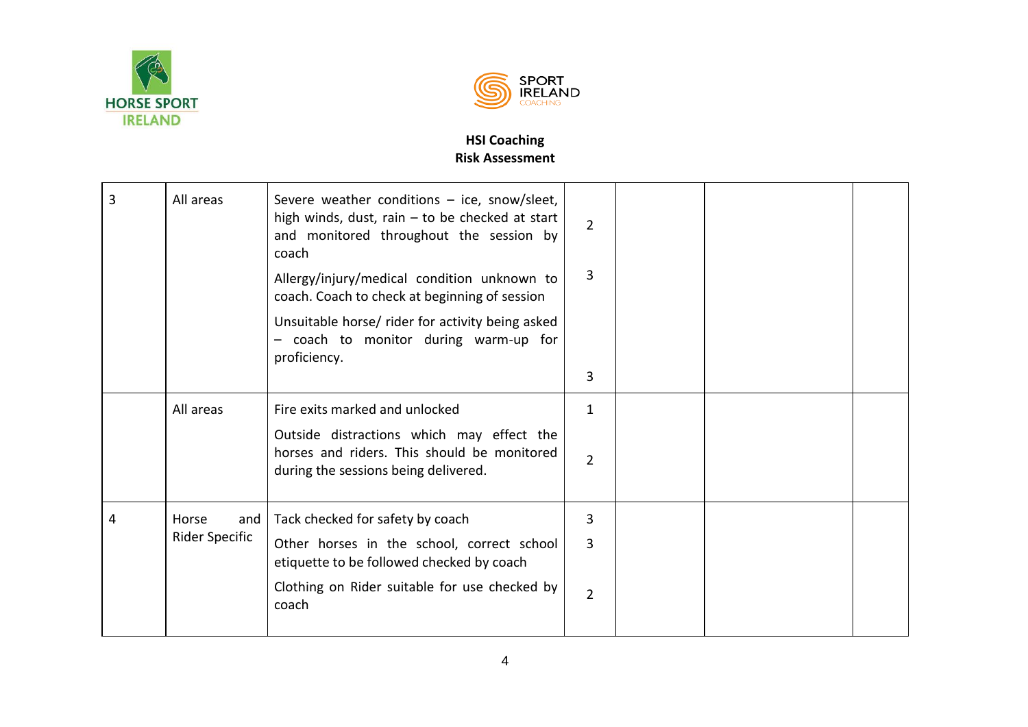



| 3 | All areas             | Severe weather conditions $-$ ice, snow/sleet,<br>high winds, dust, rain $-$ to be checked at start<br>and monitored throughout the session by<br>coach | $\overline{2}$ |  |  |
|---|-----------------------|---------------------------------------------------------------------------------------------------------------------------------------------------------|----------------|--|--|
|   |                       | Allergy/injury/medical condition unknown to<br>coach. Coach to check at beginning of session                                                            | 3              |  |  |
|   |                       | Unsuitable horse/ rider for activity being asked<br>- coach to monitor during warm-up for<br>proficiency.                                               |                |  |  |
|   |                       |                                                                                                                                                         | 3              |  |  |
|   | All areas             | Fire exits marked and unlocked                                                                                                                          | 1              |  |  |
|   |                       | Outside distractions which may effect the<br>horses and riders. This should be monitored<br>during the sessions being delivered.                        | $\overline{2}$ |  |  |
| 4 | Horse<br>and          | Tack checked for safety by coach                                                                                                                        | 3              |  |  |
|   | <b>Rider Specific</b> | Other horses in the school, correct school<br>etiquette to be followed checked by coach                                                                 | 3              |  |  |
|   |                       | Clothing on Rider suitable for use checked by<br>coach                                                                                                  | $\overline{2}$ |  |  |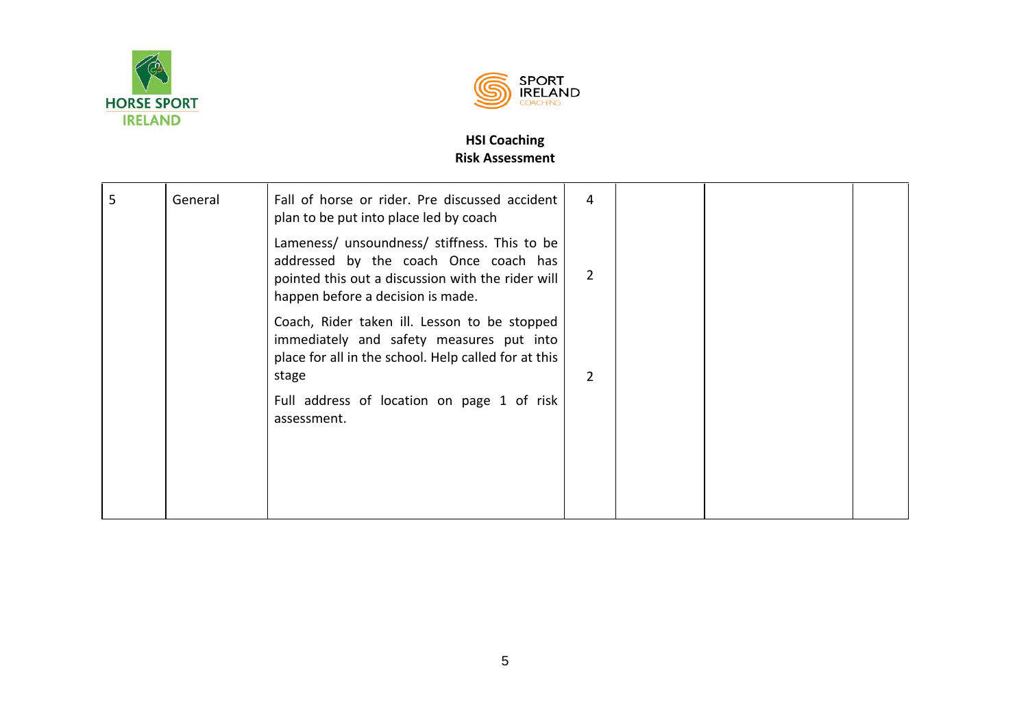



| 5 | General | Fall of horse or rider. Pre discussed accident<br>plan to be put into place led by coach                                                                                        | 4              |  |  |
|---|---------|---------------------------------------------------------------------------------------------------------------------------------------------------------------------------------|----------------|--|--|
|   |         | Lameness/ unsoundness/ stiffness. This to be<br>addressed by the coach Once coach has<br>pointed this out a discussion with the rider will<br>happen before a decision is made. | $\overline{2}$ |  |  |
|   |         | Coach, Rider taken ill. Lesson to be stopped<br>immediately and safety measures put into<br>place for all in the school. Help called for at this<br>stage                       | 2              |  |  |
|   |         | Full address of location on page 1 of risk<br>assessment.                                                                                                                       |                |  |  |
|   |         |                                                                                                                                                                                 |                |  |  |